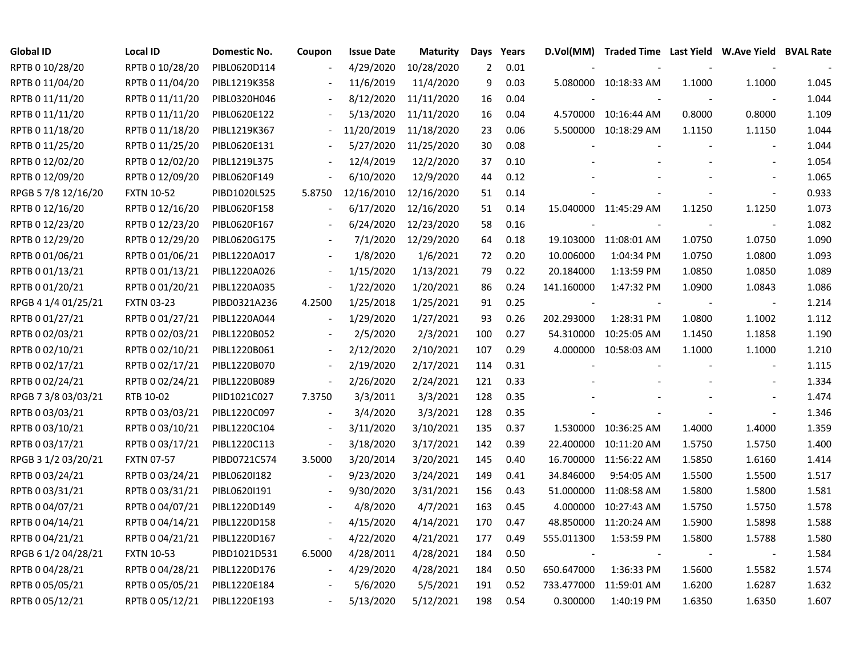| <b>Global ID</b>    | <b>Local ID</b>   | Domestic No. | Coupon                   | <b>Issue Date</b> | <b>Maturity</b> | Days | Years |            | D.Vol(MM) Traded Time Last Yield W.Ave Yield BVAL Rate |        |                          |       |
|---------------------|-------------------|--------------|--------------------------|-------------------|-----------------|------|-------|------------|--------------------------------------------------------|--------|--------------------------|-------|
| RPTB 0 10/28/20     | RPTB 0 10/28/20   | PIBL0620D114 |                          | 4/29/2020         | 10/28/2020      | 2    | 0.01  |            |                                                        |        |                          |       |
| RPTB 0 11/04/20     | RPTB 0 11/04/20   | PIBL1219K358 |                          | 11/6/2019         | 11/4/2020       | 9    | 0.03  |            | 5.080000 10:18:33 AM                                   | 1.1000 | 1.1000                   | 1.045 |
| RPTB 0 11/11/20     | RPTB 0 11/11/20   | PIBL0320H046 |                          | 8/12/2020         | 11/11/2020      | 16   | 0.04  |            |                                                        |        |                          | 1.044 |
| RPTB 0 11/11/20     | RPTB 0 11/11/20   | PIBL0620E122 |                          | 5/13/2020         | 11/11/2020      | 16   | 0.04  | 4.570000   | 10:16:44 AM                                            | 0.8000 | 0.8000                   | 1.109 |
| RPTB 0 11/18/20     | RPTB 0 11/18/20   | PIBL1219K367 | $\blacksquare$           | 11/20/2019        | 11/18/2020      | 23   | 0.06  |            | 5.500000 10:18:29 AM                                   | 1.1150 | 1.1150                   | 1.044 |
| RPTB 0 11/25/20     | RPTB 0 11/25/20   | PIBL0620E131 | $\overline{\phantom{a}}$ | 5/27/2020         | 11/25/2020      | 30   | 0.08  |            |                                                        |        | $\mathbf{r}$             | 1.044 |
| RPTB 0 12/02/20     | RPTB 0 12/02/20   | PIBL1219L375 | $\overline{\phantom{a}}$ | 12/4/2019         | 12/2/2020       | 37   | 0.10  |            |                                                        |        |                          | 1.054 |
| RPTB 0 12/09/20     | RPTB 0 12/09/20   | PIBL0620F149 |                          | 6/10/2020         | 12/9/2020       | 44   | 0.12  |            |                                                        |        |                          | 1.065 |
| RPGB 5 7/8 12/16/20 | <b>FXTN 10-52</b> | PIBD1020L525 | 5.8750                   | 12/16/2010        | 12/16/2020      | 51   | 0.14  |            |                                                        |        | $\mathbf{r}$             | 0.933 |
| RPTB 0 12/16/20     | RPTB 0 12/16/20   | PIBL0620F158 |                          | 6/17/2020         | 12/16/2020      | 51   | 0.14  |            | 15.040000 11:45:29 AM                                  | 1.1250 | 1.1250                   | 1.073 |
| RPTB 0 12/23/20     | RPTB 0 12/23/20   | PIBL0620F167 |                          | 6/24/2020         | 12/23/2020      | 58   | 0.16  |            |                                                        |        | $\overline{\phantom{a}}$ | 1.082 |
| RPTB 0 12/29/20     | RPTB 0 12/29/20   | PIBL0620G175 |                          | 7/1/2020          | 12/29/2020      | 64   | 0.18  | 19.103000  | 11:08:01 AM                                            | 1.0750 | 1.0750                   | 1.090 |
| RPTB 0 01/06/21     | RPTB 0 01/06/21   | PIBL1220A017 |                          | 1/8/2020          | 1/6/2021        | 72   | 0.20  | 10.006000  | 1:04:34 PM                                             | 1.0750 | 1.0800                   | 1.093 |
| RPTB 0 01/13/21     | RPTB 0 01/13/21   | PIBL1220A026 | $\overline{\phantom{a}}$ | 1/15/2020         | 1/13/2021       | 79   | 0.22  | 20.184000  | 1:13:59 PM                                             | 1.0850 | 1.0850                   | 1.089 |
| RPTB 0 01/20/21     | RPTB 0 01/20/21   | PIBL1220A035 |                          | 1/22/2020         | 1/20/2021       | 86   | 0.24  | 141.160000 | 1:47:32 PM                                             | 1.0900 | 1.0843                   | 1.086 |
| RPGB 4 1/4 01/25/21 | <b>FXTN 03-23</b> | PIBD0321A236 | 4.2500                   | 1/25/2018         | 1/25/2021       | 91   | 0.25  |            |                                                        |        | $\overline{\phantom{a}}$ | 1.214 |
| RPTB 0 01/27/21     | RPTB 0 01/27/21   | PIBL1220A044 | $\overline{\phantom{a}}$ | 1/29/2020         | 1/27/2021       | 93   | 0.26  | 202.293000 | 1:28:31 PM                                             | 1.0800 | 1.1002                   | 1.112 |
| RPTB 0 02/03/21     | RPTB 0 02/03/21   | PIBL1220B052 | $\overline{\phantom{a}}$ | 2/5/2020          | 2/3/2021        | 100  | 0.27  | 54.310000  | 10:25:05 AM                                            | 1.1450 | 1.1858                   | 1.190 |
| RPTB 0 02/10/21     | RPTB 0 02/10/21   | PIBL1220B061 | $\blacksquare$           | 2/12/2020         | 2/10/2021       | 107  | 0.29  | 4.000000   | 10:58:03 AM                                            | 1.1000 | 1.1000                   | 1.210 |
| RPTB 0 02/17/21     | RPTB 0 02/17/21   | PIBL1220B070 | $\overline{\phantom{a}}$ | 2/19/2020         | 2/17/2021       | 114  | 0.31  |            |                                                        |        | $\overline{\phantom{a}}$ | 1.115 |
| RPTB 0 02/24/21     | RPTB 0 02/24/21   | PIBL1220B089 | $\blacksquare$           | 2/26/2020         | 2/24/2021       | 121  | 0.33  |            |                                                        |        |                          | 1.334 |
| RPGB 7 3/8 03/03/21 | RTB 10-02         | PIID1021C027 | 7.3750                   | 3/3/2011          | 3/3/2021        | 128  | 0.35  |            |                                                        |        | $\mathbf{r}$             | 1.474 |
| RPTB 0 03/03/21     | RPTB 0 03/03/21   | PIBL1220C097 | $\overline{\phantom{a}}$ | 3/4/2020          | 3/3/2021        | 128  | 0.35  |            |                                                        |        | $\blacksquare$           | 1.346 |
| RPTB 0 03/10/21     | RPTB 0 03/10/21   | PIBL1220C104 | $\overline{\phantom{a}}$ | 3/11/2020         | 3/10/2021       | 135  | 0.37  | 1.530000   | 10:36:25 AM                                            | 1.4000 | 1.4000                   | 1.359 |
| RPTB 0 03/17/21     | RPTB 0 03/17/21   | PIBL1220C113 | $\blacksquare$           | 3/18/2020         | 3/17/2021       | 142  | 0.39  | 22.400000  | 10:11:20 AM                                            | 1.5750 | 1.5750                   | 1.400 |
| RPGB 3 1/2 03/20/21 | <b>FXTN 07-57</b> | PIBD0721C574 | 3.5000                   | 3/20/2014         | 3/20/2021       | 145  | 0.40  | 16.700000  | 11:56:22 AM                                            | 1.5850 | 1.6160                   | 1.414 |
| RPTB 0 03/24/21     | RPTB 0 03/24/21   | PIBL0620I182 | $\overline{\phantom{a}}$ | 9/23/2020         | 3/24/2021       | 149  | 0.41  | 34.846000  | 9:54:05 AM                                             | 1.5500 | 1.5500                   | 1.517 |
| RPTB 0 03/31/21     | RPTB 0 03/31/21   | PIBL0620I191 |                          | 9/30/2020         | 3/31/2021       | 156  | 0.43  | 51.000000  | 11:08:58 AM                                            | 1.5800 | 1.5800                   | 1.581 |
| RPTB 0 04/07/21     | RPTB 0 04/07/21   | PIBL1220D149 |                          | 4/8/2020          | 4/7/2021        | 163  | 0.45  | 4.000000   | 10:27:43 AM                                            | 1.5750 | 1.5750                   | 1.578 |
| RPTB 0 04/14/21     | RPTB 0 04/14/21   | PIBL1220D158 | $\overline{\phantom{a}}$ | 4/15/2020         | 4/14/2021       | 170  | 0.47  | 48.850000  | 11:20:24 AM                                            | 1.5900 | 1.5898                   | 1.588 |
| RPTB 0 04/21/21     | RPTB 0 04/21/21   | PIBL1220D167 | $\overline{\phantom{a}}$ | 4/22/2020         | 4/21/2021       | 177  | 0.49  | 555.011300 | 1:53:59 PM                                             | 1.5800 | 1.5788                   | 1.580 |
| RPGB 6 1/2 04/28/21 | <b>FXTN 10-53</b> | PIBD1021D531 | 6.5000                   | 4/28/2011         | 4/28/2021       | 184  | 0.50  |            |                                                        |        | $\overline{\phantom{a}}$ | 1.584 |
| RPTB 0 04/28/21     | RPTB 0 04/28/21   | PIBL1220D176 | $\overline{\phantom{a}}$ | 4/29/2020         | 4/28/2021       | 184  | 0.50  | 650.647000 | 1:36:33 PM                                             | 1.5600 | 1.5582                   | 1.574 |
| RPTB 0 05/05/21     | RPTB 0 05/05/21   | PIBL1220E184 |                          | 5/6/2020          | 5/5/2021        | 191  | 0.52  | 733.477000 | 11:59:01 AM                                            | 1.6200 | 1.6287                   | 1.632 |
| RPTB 0 05/12/21     | RPTB 0 05/12/21   | PIBL1220E193 |                          | 5/13/2020         | 5/12/2021       | 198  | 0.54  | 0.300000   | 1:40:19 PM                                             | 1.6350 | 1.6350                   | 1.607 |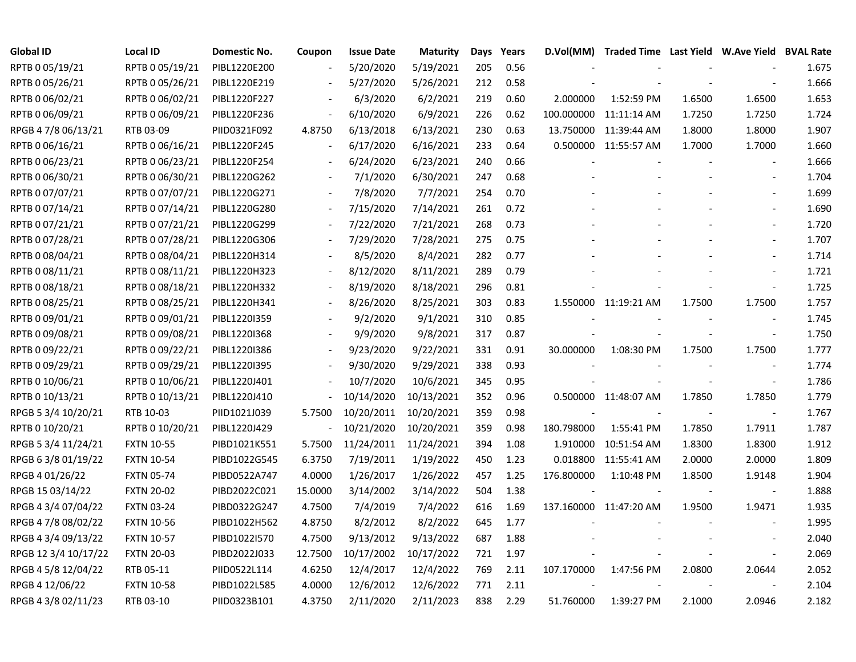| <b>Global ID</b>     | <b>Local ID</b>   | <b>Domestic No.</b> | Coupon                   | <b>Issue Date</b>     | <b>Maturity</b> | Days | Years | D.Vol(MM)  | Traded Time Last Yield W.Ave Yield BVAL Rate |        |                          |       |
|----------------------|-------------------|---------------------|--------------------------|-----------------------|-----------------|------|-------|------------|----------------------------------------------|--------|--------------------------|-------|
| RPTB 0 05/19/21      | RPTB 0 05/19/21   | PIBL1220E200        |                          | 5/20/2020             | 5/19/2021       | 205  | 0.56  |            |                                              |        |                          | 1.675 |
| RPTB 0 05/26/21      | RPTB 0 05/26/21   | PIBL1220E219        |                          | 5/27/2020             | 5/26/2021       | 212  | 0.58  |            |                                              |        |                          | 1.666 |
| RPTB 0 06/02/21      | RPTB 0 06/02/21   | PIBL1220F227        |                          | 6/3/2020              | 6/2/2021        | 219  | 0.60  | 2.000000   | 1:52:59 PM                                   | 1.6500 | 1.6500                   | 1.653 |
| RPTB 0 06/09/21      | RPTB 0 06/09/21   | PIBL1220F236        |                          | 6/10/2020             | 6/9/2021        | 226  | 0.62  |            | 100.000000 11:11:14 AM                       | 1.7250 | 1.7250                   | 1.724 |
| RPGB 4 7/8 06/13/21  | RTB 03-09         | PIID0321F092        | 4.8750                   | 6/13/2018             | 6/13/2021       | 230  | 0.63  |            | 13.750000 11:39:44 AM                        | 1.8000 | 1.8000                   | 1.907 |
| RPTB 0 06/16/21      | RPTB 0 06/16/21   | PIBL1220F245        | $\overline{\phantom{a}}$ | 6/17/2020             | 6/16/2021       | 233  | 0.64  |            | 0.500000 11:55:57 AM                         | 1.7000 | 1.7000                   | 1.660 |
| RPTB 0 06/23/21      | RPTB 0 06/23/21   | PIBL1220F254        | $\overline{\phantom{a}}$ | 6/24/2020             | 6/23/2021       | 240  | 0.66  |            |                                              |        |                          | 1.666 |
| RPTB 0 06/30/21      | RPTB 0 06/30/21   | PIBL1220G262        | $\blacksquare$           | 7/1/2020              | 6/30/2021       | 247  | 0.68  |            |                                              |        | $\overline{\phantom{a}}$ | 1.704 |
| RPTB 0 07/07/21      | RPTB 0 07/07/21   | PIBL1220G271        |                          | 7/8/2020              | 7/7/2021        | 254  | 0.70  |            |                                              |        |                          | 1.699 |
| RPTB 0 07/14/21      | RPTB 0 07/14/21   | PIBL1220G280        |                          | 7/15/2020             | 7/14/2021       | 261  | 0.72  |            |                                              |        | $\blacksquare$           | 1.690 |
| RPTB 0 07/21/21      | RPTB 0 07/21/21   | PIBL1220G299        |                          | 7/22/2020             | 7/21/2021       | 268  | 0.73  |            |                                              |        | $\blacksquare$           | 1.720 |
| RPTB 0 07/28/21      | RPTB 0 07/28/21   | PIBL1220G306        |                          | 7/29/2020             | 7/28/2021       | 275  | 0.75  |            |                                              |        | $\overline{\phantom{a}}$ | 1.707 |
| RPTB 0 08/04/21      | RPTB 0 08/04/21   | PIBL1220H314        |                          | 8/5/2020              | 8/4/2021        | 282  | 0.77  |            |                                              |        | $\overline{\phantom{a}}$ | 1.714 |
| RPTB 0 08/11/21      | RPTB 0 08/11/21   | PIBL1220H323        |                          | 8/12/2020             | 8/11/2021       | 289  | 0.79  |            |                                              |        |                          | 1.721 |
| RPTB 0 08/18/21      | RPTB 0 08/18/21   | PIBL1220H332        |                          | 8/19/2020             | 8/18/2021       | 296  | 0.81  |            |                                              |        |                          | 1.725 |
| RPTB 0 08/25/21      | RPTB 0 08/25/21   | PIBL1220H341        |                          | 8/26/2020             | 8/25/2021       | 303  | 0.83  |            | 1.550000 11:19:21 AM                         | 1.7500 | 1.7500                   | 1.757 |
| RPTB 0 09/01/21      | RPTB 0 09/01/21   | PIBL1220I359        |                          | 9/2/2020              | 9/1/2021        | 310  | 0.85  |            |                                              |        |                          | 1.745 |
| RPTB 0 09/08/21      | RPTB 0 09/08/21   | PIBL1220I368        |                          | 9/9/2020              | 9/8/2021        | 317  | 0.87  |            |                                              |        | $\overline{\phantom{a}}$ | 1.750 |
| RPTB 0 09/22/21      | RPTB 0 09/22/21   | PIBL1220I386        | $\overline{\phantom{a}}$ | 9/23/2020             | 9/22/2021       | 331  | 0.91  | 30.000000  | 1:08:30 PM                                   | 1.7500 | 1.7500                   | 1.777 |
| RPTB 0 09/29/21      | RPTB 0 09/29/21   | PIBL12201395        | $\overline{\phantom{a}}$ | 9/30/2020             | 9/29/2021       | 338  | 0.93  |            |                                              |        | $\overline{\phantom{a}}$ | 1.774 |
| RPTB 0 10/06/21      | RPTB 0 10/06/21   | PIBL1220J401        |                          | 10/7/2020             | 10/6/2021       | 345  | 0.95  |            |                                              |        | $\overline{\phantom{a}}$ | 1.786 |
| RPTB 0 10/13/21      | RPTB 0 10/13/21   | PIBL1220J410        |                          | 10/14/2020            | 10/13/2021      | 352  | 0.96  |            | 0.500000 11:48:07 AM                         | 1.7850 | 1.7850                   | 1.779 |
| RPGB 5 3/4 10/20/21  | RTB 10-03         | PIID1021J039        | 5.7500                   | 10/20/2011            | 10/20/2021      | 359  | 0.98  |            |                                              |        | $\overline{\phantom{a}}$ | 1.767 |
| RPTB 0 10/20/21      | RPTB 0 10/20/21   | PIBL1220J429        | $\overline{\phantom{a}}$ | 10/21/2020            | 10/20/2021      | 359  | 0.98  | 180.798000 | 1:55:41 PM                                   | 1.7850 | 1.7911                   | 1.787 |
| RPGB 5 3/4 11/24/21  | <b>FXTN 10-55</b> | PIBD1021K551        | 5.7500                   | 11/24/2011 11/24/2021 |                 | 394  | 1.08  | 1.910000   | 10:51:54 AM                                  | 1.8300 | 1.8300                   | 1.912 |
| RPGB 6 3/8 01/19/22  | <b>FXTN 10-54</b> | PIBD1022G545        | 6.3750                   | 7/19/2011             | 1/19/2022       | 450  | 1.23  |            | 0.018800 11:55:41 AM                         | 2.0000 | 2.0000                   | 1.809 |
| RPGB 4 01/26/22      | <b>FXTN 05-74</b> | PIBD0522A747        | 4.0000                   | 1/26/2017             | 1/26/2022       | 457  | 1.25  | 176.800000 | 1:10:48 PM                                   | 1.8500 | 1.9148                   | 1.904 |
| RPGB 15 03/14/22     | <b>FXTN 20-02</b> | PIBD2022C021        | 15.0000                  | 3/14/2002             | 3/14/2022       | 504  | 1.38  |            |                                              |        | $\overline{\phantom{a}}$ | 1.888 |
| RPGB 4 3/4 07/04/22  | <b>FXTN 03-24</b> | PIBD0322G247        | 4.7500                   | 7/4/2019              | 7/4/2022        | 616  | 1.69  |            | 137.160000 11:47:20 AM                       | 1.9500 | 1.9471                   | 1.935 |
| RPGB 4 7/8 08/02/22  | <b>FXTN 10-56</b> | PIBD1022H562        | 4.8750                   | 8/2/2012              | 8/2/2022        | 645  | 1.77  |            |                                              |        | $\sim$                   | 1.995 |
| RPGB 4 3/4 09/13/22  | <b>FXTN 10-57</b> | PIBD1022I570        | 4.7500                   | 9/13/2012             | 9/13/2022       | 687  | 1.88  |            |                                              |        |                          | 2.040 |
| RPGB 12 3/4 10/17/22 | <b>FXTN 20-03</b> | PIBD2022J033        | 12.7500                  | 10/17/2002            | 10/17/2022      | 721  | 1.97  |            |                                              |        | $\overline{\phantom{a}}$ | 2.069 |
| RPGB 4 5/8 12/04/22  | RTB 05-11         | PIID0522L114        | 4.6250                   | 12/4/2017             | 12/4/2022       | 769  | 2.11  | 107.170000 | 1:47:56 PM                                   | 2.0800 | 2.0644                   | 2.052 |
| RPGB 4 12/06/22      | <b>FXTN 10-58</b> | PIBD1022L585        | 4.0000                   | 12/6/2012             | 12/6/2022       | 771  | 2.11  |            |                                              |        |                          | 2.104 |
| RPGB 4 3/8 02/11/23  | RTB 03-10         | PIID0323B101        | 4.3750                   | 2/11/2020             | 2/11/2023       | 838  | 2.29  | 51.760000  | 1:39:27 PM                                   | 2.1000 | 2.0946                   | 2.182 |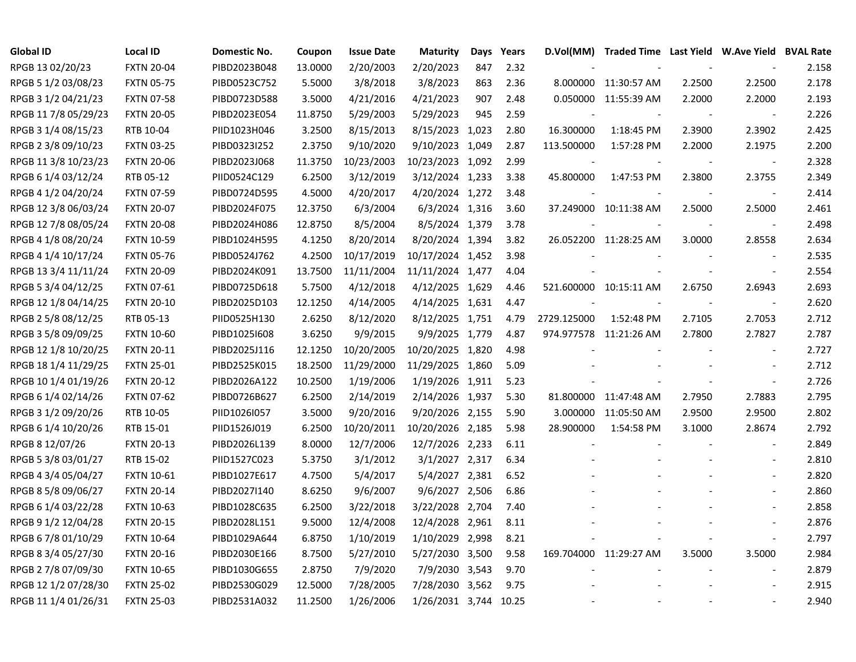| <b>Global ID</b>     | <b>Local ID</b>   | Domestic No. | Coupon  | <b>Issue Date</b> | <b>Maturity</b>  | Days | Years |             | D.Vol(MM) Traded Time Last Yield W.Ave Yield BVAL Rate |        |                          |       |
|----------------------|-------------------|--------------|---------|-------------------|------------------|------|-------|-------------|--------------------------------------------------------|--------|--------------------------|-------|
| RPGB 13 02/20/23     | <b>FXTN 20-04</b> | PIBD2023B048 | 13.0000 | 2/20/2003         | 2/20/2023        | 847  | 2.32  |             |                                                        |        |                          | 2.158 |
| RPGB 5 1/2 03/08/23  | <b>FXTN 05-75</b> | PIBD0523C752 | 5.5000  | 3/8/2018          | 3/8/2023         | 863  | 2.36  |             | 8.000000 11:30:57 AM                                   | 2.2500 | 2.2500                   | 2.178 |
| RPGB 3 1/2 04/21/23  | <b>FXTN 07-58</b> | PIBD0723D588 | 3.5000  | 4/21/2016         | 4/21/2023        | 907  | 2.48  |             | 0.050000 11:55:39 AM                                   | 2.2000 | 2.2000                   | 2.193 |
| RPGB 11 7/8 05/29/23 | <b>FXTN 20-05</b> | PIBD2023E054 | 11.8750 | 5/29/2003         | 5/29/2023        | 945  | 2.59  |             |                                                        |        | $\overline{\phantom{a}}$ | 2.226 |
| RPGB 3 1/4 08/15/23  | RTB 10-04         | PIID1023H046 | 3.2500  | 8/15/2013         | 8/15/2023 1,023  |      | 2.80  | 16.300000   | 1:18:45 PM                                             | 2.3900 | 2.3902                   | 2.425 |
| RPGB 2 3/8 09/10/23  | <b>FXTN 03-25</b> | PIBD0323I252 | 2.3750  | 9/10/2020         | 9/10/2023 1,049  |      | 2.87  | 113.500000  | 1:57:28 PM                                             | 2.2000 | 2.1975                   | 2.200 |
| RPGB 11 3/8 10/23/23 | <b>FXTN 20-06</b> | PIBD2023J068 | 11.3750 | 10/23/2003        | 10/23/2023 1,092 |      | 2.99  |             |                                                        |        |                          | 2.328 |
| RPGB 6 1/4 03/12/24  | RTB 05-12         | PIID0524C129 | 6.2500  | 3/12/2019         | 3/12/2024 1,233  |      | 3.38  | 45.800000   | 1:47:53 PM                                             | 2.3800 | 2.3755                   | 2.349 |
| RPGB 4 1/2 04/20/24  | <b>FXTN 07-59</b> | PIBD0724D595 | 4.5000  | 4/20/2017         | 4/20/2024 1,272  |      | 3.48  |             |                                                        |        | $\overline{\phantom{a}}$ | 2.414 |
| RPGB 12 3/8 06/03/24 | <b>FXTN 20-07</b> | PIBD2024F075 | 12.3750 | 6/3/2004          | 6/3/2024 1,316   |      | 3.60  |             | 37.249000 10:11:38 AM                                  | 2.5000 | 2.5000                   | 2.461 |
| RPGB 12 7/8 08/05/24 | <b>FXTN 20-08</b> | PIBD2024H086 | 12.8750 | 8/5/2004          | 8/5/2024 1,379   |      | 3.78  |             |                                                        |        | $\overline{\phantom{a}}$ | 2.498 |
| RPGB 4 1/8 08/20/24  | <b>FXTN 10-59</b> | PIBD1024H595 | 4.1250  | 8/20/2014         | 8/20/2024 1,394  |      | 3.82  |             | 26.052200 11:28:25 AM                                  | 3.0000 | 2.8558                   | 2.634 |
| RPGB 4 1/4 10/17/24  | <b>FXTN 05-76</b> | PIBD0524J762 | 4.2500  | 10/17/2019        | 10/17/2024 1,452 |      | 3.98  |             |                                                        |        |                          | 2.535 |
| RPGB 13 3/4 11/11/24 | <b>FXTN 20-09</b> | PIBD2024K091 | 13.7500 | 11/11/2004        | 11/11/2024 1,477 |      | 4.04  |             |                                                        |        | $\overline{\phantom{a}}$ | 2.554 |
| RPGB 5 3/4 04/12/25  | <b>FXTN 07-61</b> | PIBD0725D618 | 5.7500  | 4/12/2018         | 4/12/2025 1,629  |      | 4.46  |             | 521.600000 10:15:11 AM                                 | 2.6750 | 2.6943                   | 2.693 |
| RPGB 12 1/8 04/14/25 | <b>FXTN 20-10</b> | PIBD2025D103 | 12.1250 | 4/14/2005         | 4/14/2025 1,631  |      | 4.47  |             |                                                        |        | $\overline{\phantom{a}}$ | 2.620 |
| RPGB 2 5/8 08/12/25  | RTB 05-13         | PIID0525H130 | 2.6250  | 8/12/2020         | 8/12/2025 1,751  |      | 4.79  | 2729.125000 | 1:52:48 PM                                             | 2.7105 | 2.7053                   | 2.712 |
| RPGB 3 5/8 09/09/25  | <b>FXTN 10-60</b> | PIBD1025I608 | 3.6250  | 9/9/2015          | 9/9/2025 1,779   |      | 4.87  |             | 974.977578 11:21:26 AM                                 | 2.7800 | 2.7827                   | 2.787 |
| RPGB 12 1/8 10/20/25 | <b>FXTN 20-11</b> | PIBD2025J116 | 12.1250 | 10/20/2005        | 10/20/2025 1,820 |      | 4.98  |             |                                                        |        | $\blacksquare$           | 2.727 |
| RPGB 18 1/4 11/29/25 | <b>FXTN 25-01</b> | PIBD2525K015 | 18.2500 | 11/29/2000        | 11/29/2025 1,860 |      | 5.09  |             |                                                        |        |                          | 2.712 |
| RPGB 10 1/4 01/19/26 | <b>FXTN 20-12</b> | PIBD2026A122 | 10.2500 | 1/19/2006         | 1/19/2026 1,911  |      | 5.23  |             |                                                        |        | $\overline{\phantom{a}}$ | 2.726 |
| RPGB 6 1/4 02/14/26  | <b>FXTN 07-62</b> | PIBD0726B627 | 6.2500  | 2/14/2019         | 2/14/2026 1,937  |      | 5.30  |             | 81.800000 11:47:48 AM                                  | 2.7950 | 2.7883                   | 2.795 |
| RPGB 3 1/2 09/20/26  | RTB 10-05         | PIID1026I057 | 3.5000  | 9/20/2016         | 9/20/2026 2,155  |      | 5.90  | 3.000000    | 11:05:50 AM                                            | 2.9500 | 2.9500                   | 2.802 |
| RPGB 6 1/4 10/20/26  | RTB 15-01         | PIID1526J019 | 6.2500  | 10/20/2011        | 10/20/2026 2,185 |      | 5.98  | 28.900000   | 1:54:58 PM                                             | 3.1000 | 2.8674                   | 2.792 |
| RPGB 8 12/07/26      | <b>FXTN 20-13</b> | PIBD2026L139 | 8.0000  | 12/7/2006         | 12/7/2026 2,233  |      | 6.11  |             |                                                        |        | $\blacksquare$           | 2.849 |
| RPGB 5 3/8 03/01/27  | RTB 15-02         | PIID1527C023 | 5.3750  | 3/1/2012          | 3/1/2027 2,317   |      | 6.34  |             |                                                        |        |                          | 2.810 |
| RPGB 4 3/4 05/04/27  | <b>FXTN 10-61</b> | PIBD1027E617 | 4.7500  | 5/4/2017          | 5/4/2027 2,381   |      | 6.52  |             |                                                        |        |                          | 2.820 |
| RPGB 8 5/8 09/06/27  | <b>FXTN 20-14</b> | PIBD2027I140 | 8.6250  | 9/6/2007          | 9/6/2027 2,506   |      | 6.86  |             |                                                        |        |                          | 2.860 |
| RPGB 6 1/4 03/22/28  | <b>FXTN 10-63</b> | PIBD1028C635 | 6.2500  | 3/22/2018         | 3/22/2028 2,704  |      | 7.40  |             |                                                        |        |                          | 2.858 |
| RPGB 9 1/2 12/04/28  | <b>FXTN 20-15</b> | PIBD2028L151 | 9.5000  | 12/4/2008         | 12/4/2028 2,961  |      | 8.11  |             |                                                        |        | $\sim$                   | 2.876 |
| RPGB 6 7/8 01/10/29  | <b>FXTN 10-64</b> | PIBD1029A644 | 6.8750  | 1/10/2019         | 1/10/2029 2,998  |      | 8.21  |             |                                                        |        | $\sim$                   | 2.797 |
| RPGB 8 3/4 05/27/30  | <b>FXTN 20-16</b> | PIBD2030E166 | 8.7500  | 5/27/2010         | 5/27/2030 3,500  |      | 9.58  |             | 169.704000 11:29:27 AM                                 | 3.5000 | 3.5000                   | 2.984 |
| RPGB 2 7/8 07/09/30  | <b>FXTN 10-65</b> | PIBD1030G655 | 2.8750  | 7/9/2020          | 7/9/2030 3,543   |      | 9.70  |             |                                                        |        | $\overline{\phantom{a}}$ | 2.879 |
| RPGB 12 1/2 07/28/30 | <b>FXTN 25-02</b> | PIBD2530G029 | 12.5000 | 7/28/2005         | 7/28/2030 3,562  |      | 9.75  |             |                                                        |        |                          | 2.915 |
| RPGB 11 1/4 01/26/31 | <b>FXTN 25-03</b> | PIBD2531A032 | 11.2500 | 1/26/2006         | 1/26/2031 3,744  |      | 10.25 |             |                                                        |        |                          | 2.940 |